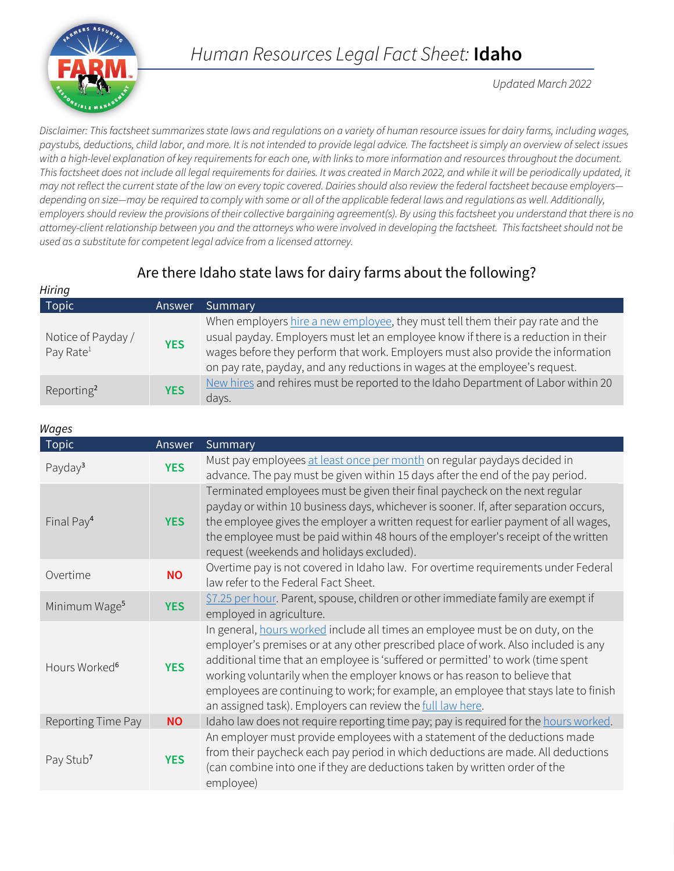

*Updated March 2022*

*Disclaimer: This factsheet summarizes state laws and regulations on a variety of human resource issues for dairy farms, including wages, paystubs, deductions, child labor, and more. It is not intended to provide legal advice. The factsheet is simply an overview of select issues with a high-level explanation of key requirements for each one, with links to more information and resources throughout the document.*  This factsheet does not include all legal requirements for dairies. It was created in March 2022, and while it will be periodically updated, it *may not reflect the current state of the law on every topic covered. Dairies should also review the federal factsheet because employers depending on size—may be required to comply with some or all of the applicable federal laws and regulations as well. Additionally, employers should review the provisions of their collective bargaining agreement(s). By using this factsheet you understand that there is no attorney-client relationship between you and the attorneys who were involved in developing the factsheet. This factsheet should not be used as a substitute for competent legal advice from a licensed attorney.*

# Are there Idaho state laws for dairy farms about the following?

| <b>Hiring</b>                               |            |                                                                                                                                                                                                                                                                                                                                         |
|---------------------------------------------|------------|-----------------------------------------------------------------------------------------------------------------------------------------------------------------------------------------------------------------------------------------------------------------------------------------------------------------------------------------|
| <b>Topic</b>                                | Answer     | Summary                                                                                                                                                                                                                                                                                                                                 |
| Notice of Payday /<br>Pay Rate <sup>1</sup> | <b>YES</b> | When employers hire a new employee, they must tell them their pay rate and the<br>usual payday. Employers must let an employee know if there is a reduction in their<br>wages before they perform that work. Employers must also provide the information<br>on pay rate, payday, and any reductions in wages at the employee's request. |
| Reporting <sup>2</sup>                      | <b>YES</b> | New hires and rehires must be reported to the Idaho Department of Labor within 20<br>days.                                                                                                                                                                                                                                              |

#### *Wages*

| rruyco                    |            |                                                                                                                                                                                                                                                                                                                                                                                                                                                                                            |
|---------------------------|------------|--------------------------------------------------------------------------------------------------------------------------------------------------------------------------------------------------------------------------------------------------------------------------------------------------------------------------------------------------------------------------------------------------------------------------------------------------------------------------------------------|
| <b>Topic</b>              | Answer     | Summary                                                                                                                                                                                                                                                                                                                                                                                                                                                                                    |
| Payday <sup>3</sup>       | <b>YES</b> | Must pay employees at least once per month on regular paydays decided in<br>advance. The pay must be given within 15 days after the end of the pay period.                                                                                                                                                                                                                                                                                                                                 |
| Final Pay <sup>4</sup>    | <b>YES</b> | Terminated employees must be given their final paycheck on the next regular<br>payday or within 10 business days, whichever is sooner. If, after separation occurs,<br>the employee gives the employer a written request for earlier payment of all wages,<br>the employee must be paid within 48 hours of the employer's receipt of the written<br>request (weekends and holidays excluded).                                                                                              |
| Overtime                  | <b>NO</b>  | Overtime pay is not covered in Idaho law. For overtime requirements under Federal<br>law refer to the Federal Fact Sheet.                                                                                                                                                                                                                                                                                                                                                                  |
| Minimum Wage <sup>5</sup> | <b>YES</b> | \$7.25 per hour. Parent, spouse, children or other immediate family are exempt if<br>employed in agriculture.                                                                                                                                                                                                                                                                                                                                                                              |
| Hours Worked <sup>6</sup> | <b>YES</b> | In general, hours worked include all times an employee must be on duty, on the<br>employer's premises or at any other prescribed place of work. Also included is any<br>additional time that an employee is 'suffered or permitted' to work (time spent<br>working voluntarily when the employer knows or has reason to believe that<br>employees are continuing to work; for example, an employee that stays late to finish<br>an assigned task). Employers can review the full law here. |
| Reporting Time Pay        | <b>NO</b>  | Idaho law does not require reporting time pay; pay is required for the hours worked.                                                                                                                                                                                                                                                                                                                                                                                                       |
| Pay Stub <sup>7</sup>     | <b>YES</b> | An employer must provide employees with a statement of the deductions made<br>from their paycheck each pay period in which deductions are made. All deductions<br>(can combine into one if they are deductions taken by written order of the<br>employee)                                                                                                                                                                                                                                  |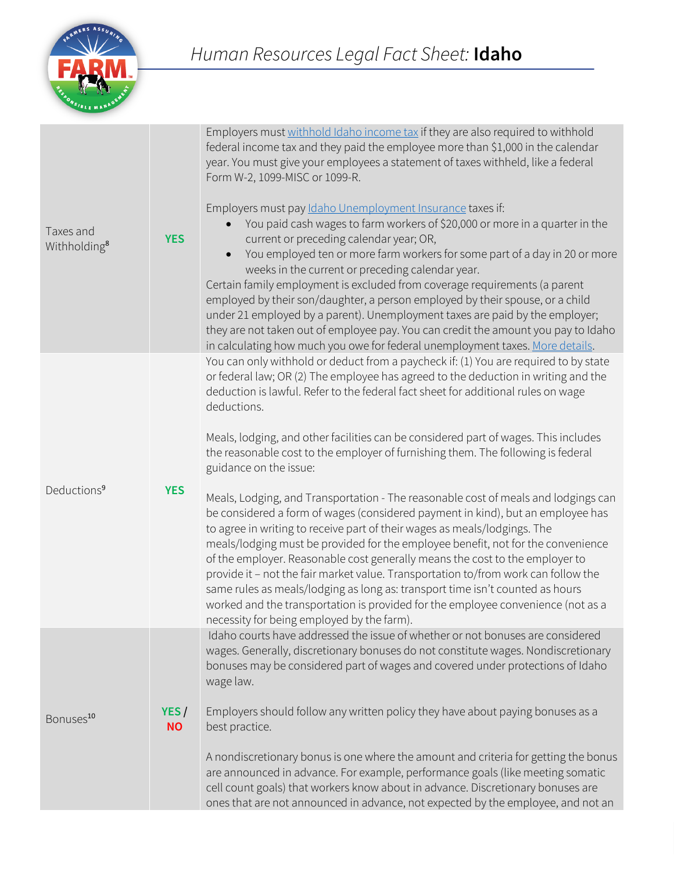

| Taxes and<br>Withholding <sup>8</sup> | <b>YES</b>        | Employers must withhold Idaho income tax if they are also required to withhold<br>federal income tax and they paid the employee more than \$1,000 in the calendar<br>year. You must give your employees a statement of taxes withheld, like a federal<br>Form W-2, 1099-MISC or 1099-R.<br>Employers must pay Idaho Unemployment Insurance taxes if:<br>You paid cash wages to farm workers of \$20,000 or more in a quarter in the<br>current or preceding calendar year; OR,<br>You employed ten or more farm workers for some part of a day in 20 or more<br>$\bullet$<br>weeks in the current or preceding calendar year.<br>Certain family employment is excluded from coverage requirements (a parent<br>employed by their son/daughter, a person employed by their spouse, or a child<br>under 21 employed by a parent). Unemployment taxes are paid by the employer;<br>they are not taken out of employee pay. You can credit the amount you pay to Idaho<br>in calculating how much you owe for federal unemployment taxes. More details.                                                                                                                                                                    |
|---------------------------------------|-------------------|------------------------------------------------------------------------------------------------------------------------------------------------------------------------------------------------------------------------------------------------------------------------------------------------------------------------------------------------------------------------------------------------------------------------------------------------------------------------------------------------------------------------------------------------------------------------------------------------------------------------------------------------------------------------------------------------------------------------------------------------------------------------------------------------------------------------------------------------------------------------------------------------------------------------------------------------------------------------------------------------------------------------------------------------------------------------------------------------------------------------------------------------------------------------------------------------------------------------|
| Deductions <sup>9</sup>               | <b>YES</b>        | You can only withhold or deduct from a paycheck if: (1) You are required to by state<br>or federal law; OR (2) The employee has agreed to the deduction in writing and the<br>deduction is lawful. Refer to the federal fact sheet for additional rules on wage<br>deductions.<br>Meals, lodging, and other facilities can be considered part of wages. This includes<br>the reasonable cost to the employer of furnishing them. The following is federal<br>guidance on the issue:<br>Meals, Lodging, and Transportation - The reasonable cost of meals and lodgings can<br>be considered a form of wages (considered payment in kind), but an employee has<br>to agree in writing to receive part of their wages as meals/lodgings. The<br>meals/lodging must be provided for the employee benefit, not for the convenience<br>of the employer. Reasonable cost generally means the cost to the employer to<br>provide it - not the fair market value. Transportation to/from work can follow the<br>same rules as meals/lodging as long as: transport time isn't counted as hours<br>worked and the transportation is provided for the employee convenience (not as a<br>necessity for being employed by the farm). |
| Bonuses <sup>10</sup>                 | YES/<br><b>NO</b> | Idaho courts have addressed the issue of whether or not bonuses are considered<br>wages. Generally, discretionary bonuses do not constitute wages. Nondiscretionary<br>bonuses may be considered part of wages and covered under protections of Idaho<br>wage law.<br>Employers should follow any written policy they have about paying bonuses as a<br>best practice.<br>A nondiscretionary bonus is one where the amount and criteria for getting the bonus<br>are announced in advance. For example, performance goals (like meeting somatic<br>cell count goals) that workers know about in advance. Discretionary bonuses are<br>ones that are not announced in advance, not expected by the employee, and not an                                                                                                                                                                                                                                                                                                                                                                                                                                                                                                 |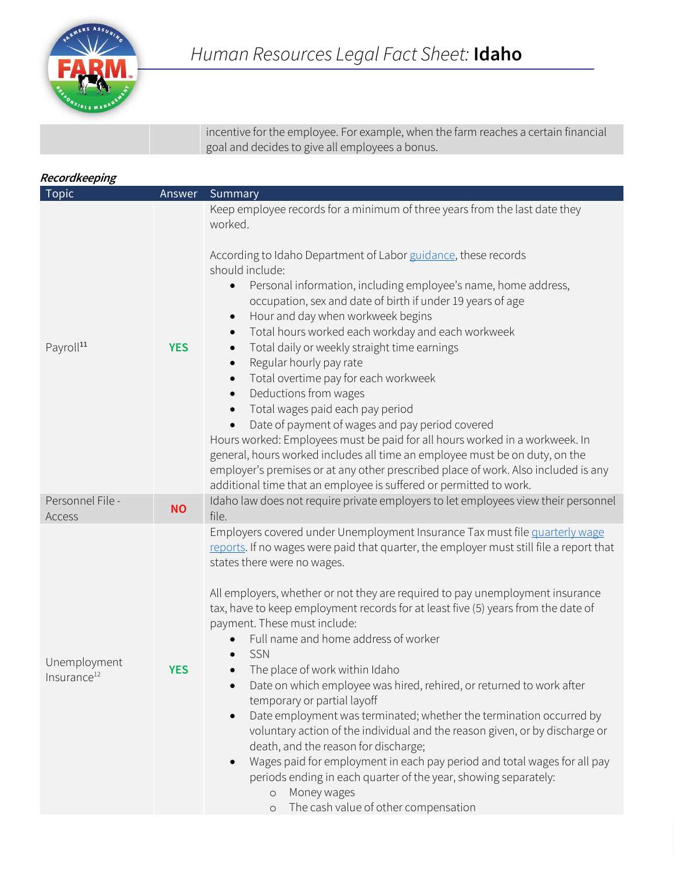

incentive for the employee. For example, when the farm reaches a certain financial goal and decides to give all employees a bonus.

### **Recordkeeping**

| <b>Topic</b>                            | Answer     | Summary                                                                                                                                                                                                                                                                                                                                                                                                                                                                                                                                                                                                                                                                                                                                                                                                                                                                                                                                                                                                                       |
|-----------------------------------------|------------|-------------------------------------------------------------------------------------------------------------------------------------------------------------------------------------------------------------------------------------------------------------------------------------------------------------------------------------------------------------------------------------------------------------------------------------------------------------------------------------------------------------------------------------------------------------------------------------------------------------------------------------------------------------------------------------------------------------------------------------------------------------------------------------------------------------------------------------------------------------------------------------------------------------------------------------------------------------------------------------------------------------------------------|
| Payroll <sup>11</sup>                   | <b>YES</b> | Keep employee records for a minimum of three years from the last date they<br>worked.<br>According to Idaho Department of Labor guidance, these records<br>should include:<br>Personal information, including employee's name, home address,<br>$\bullet$<br>occupation, sex and date of birth if under 19 years of age<br>Hour and day when workweek begins<br>Total hours worked each workday and each workweek<br>$\bullet$<br>Total daily or weekly straight time earnings<br>Regular hourly pay rate<br>Total overtime pay for each workweek<br>Deductions from wages<br>$\bullet$<br>Total wages paid each pay period<br>Date of payment of wages and pay period covered<br>Hours worked: Employees must be paid for all hours worked in a workweek. In<br>general, hours worked includes all time an employee must be on duty, on the<br>employer's premises or at any other prescribed place of work. Also included is any<br>additional time that an employee is suffered or permitted to work.                      |
| Personnel File -<br>Access              | <b>NO</b>  | Idaho law does not require private employers to let employees view their personnel<br>file.                                                                                                                                                                                                                                                                                                                                                                                                                                                                                                                                                                                                                                                                                                                                                                                                                                                                                                                                   |
| Unemployment<br>Insurance <sup>12</sup> | <b>YES</b> | Employers covered under Unemployment Insurance Tax must file quarterly wage<br>reports. If no wages were paid that quarter, the employer must still file a report that<br>states there were no wages.<br>All employers, whether or not they are required to pay unemployment insurance<br>tax, have to keep employment records for at least five (5) years from the date of<br>payment. These must include:<br>Full name and home address of worker<br>SSN<br>The place of work within Idaho<br>Date on which employee was hired, rehired, or returned to work after<br>temporary or partial layoff<br>Date employment was terminated; whether the termination occurred by<br>voluntary action of the individual and the reason given, or by discharge or<br>death, and the reason for discharge;<br>Wages paid for employment in each pay period and total wages for all pay<br>periods ending in each quarter of the year, showing separately:<br>Money wages<br>$\circ$<br>The cash value of other compensation<br>$\circ$ |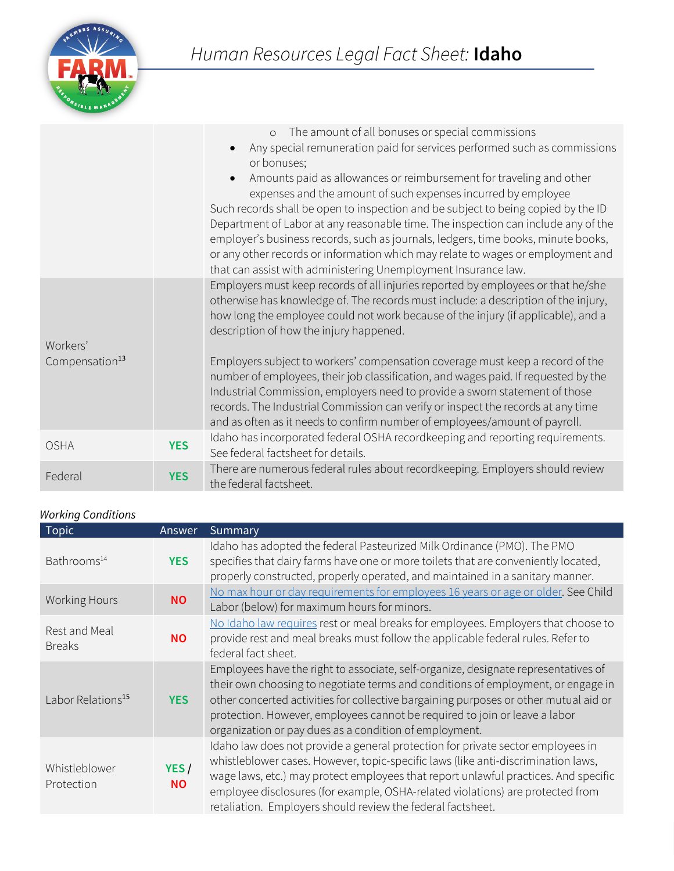

|                            |            | The amount of all bonuses or special commissions<br>$\circ$<br>Any special remuneration paid for services performed such as commissions<br>or bonuses;<br>Amounts paid as allowances or reimbursement for traveling and other<br>expenses and the amount of such expenses incurred by employee<br>Such records shall be open to inspection and be subject to being copied by the ID<br>Department of Labor at any reasonable time. The inspection can include any of the<br>employer's business records, such as journals, ledgers, time books, minute books,<br>or any other records or information which may relate to wages or employment and<br>that can assist with administering Unemployment Insurance law. |
|----------------------------|------------|--------------------------------------------------------------------------------------------------------------------------------------------------------------------------------------------------------------------------------------------------------------------------------------------------------------------------------------------------------------------------------------------------------------------------------------------------------------------------------------------------------------------------------------------------------------------------------------------------------------------------------------------------------------------------------------------------------------------|
| Workers'                   |            | Employers must keep records of all injuries reported by employees or that he/she<br>otherwise has knowledge of. The records must include: a description of the injury,<br>how long the employee could not work because of the injury (if applicable), and a<br>description of how the injury happened.                                                                                                                                                                                                                                                                                                                                                                                                             |
| Compensation <sup>13</sup> |            | Employers subject to workers' compensation coverage must keep a record of the<br>number of employees, their job classification, and wages paid. If requested by the<br>Industrial Commission, employers need to provide a sworn statement of those<br>records. The Industrial Commission can verify or inspect the records at any time<br>and as often as it needs to confirm number of employees/amount of payroll.                                                                                                                                                                                                                                                                                               |
| <b>OSHA</b>                | <b>YES</b> | Idaho has incorporated federal OSHA recordkeeping and reporting requirements.<br>See federal factsheet for details.                                                                                                                                                                                                                                                                                                                                                                                                                                                                                                                                                                                                |
| Federal                    | <b>YES</b> | There are numerous federal rules about recordkeeping. Employers should review<br>the federal factsheet.                                                                                                                                                                                                                                                                                                                                                                                                                                                                                                                                                                                                            |

## *Working Conditions*

| Topic                          | Answer            | Summary                                                                                                                                                                                                                                                                                                                                                                                                      |
|--------------------------------|-------------------|--------------------------------------------------------------------------------------------------------------------------------------------------------------------------------------------------------------------------------------------------------------------------------------------------------------------------------------------------------------------------------------------------------------|
| Bathrooms <sup>14</sup>        | <b>YES</b>        | Idaho has adopted the federal Pasteurized Milk Ordinance (PMO). The PMO<br>specifies that dairy farms have one or more toilets that are conveniently located,<br>properly constructed, properly operated, and maintained in a sanitary manner.                                                                                                                                                               |
| <b>Working Hours</b>           | <b>NO</b>         | No max hour or day requirements for employees 16 years or age or older. See Child<br>Labor (below) for maximum hours for minors.                                                                                                                                                                                                                                                                             |
| Rest and Meal<br><b>Breaks</b> | <b>NO</b>         | No Idaho law requires rest or meal breaks for employees. Employers that choose to<br>provide rest and meal breaks must follow the applicable federal rules. Refer to<br>federal fact sheet.                                                                                                                                                                                                                  |
| Labor Relations <sup>15</sup>  | <b>YES</b>        | Employees have the right to associate, self-organize, designate representatives of<br>their own choosing to negotiate terms and conditions of employment, or engage in<br>other concerted activities for collective bargaining purposes or other mutual aid or<br>protection. However, employees cannot be required to join or leave a labor<br>organization or pay dues as a condition of employment.       |
| Whistleblower<br>Protection    | YES/<br><b>NO</b> | Idaho law does not provide a general protection for private sector employees in<br>whistleblower cases. However, topic-specific laws (like anti-discrimination laws,<br>wage laws, etc.) may protect employees that report unlawful practices. And specific<br>employee disclosures (for example, OSHA-related violations) are protected from<br>retaliation. Employers should review the federal factsheet. |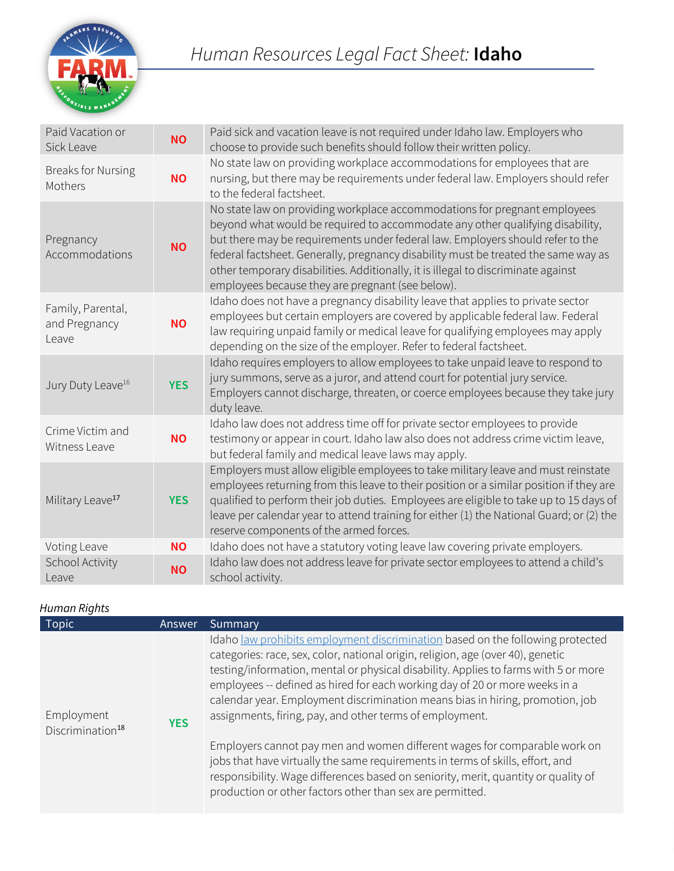

| Paid Vacation or<br>Sick Leave              | <b>NO</b>  | Paid sick and vacation leave is not required under Idaho law. Employers who<br>choose to provide such benefits should follow their written policy.                                                                                                                                                                                                                                                                                                                          |
|---------------------------------------------|------------|-----------------------------------------------------------------------------------------------------------------------------------------------------------------------------------------------------------------------------------------------------------------------------------------------------------------------------------------------------------------------------------------------------------------------------------------------------------------------------|
| <b>Breaks for Nursing</b><br>Mothers        | <b>NO</b>  | No state law on providing workplace accommodations for employees that are<br>nursing, but there may be requirements under federal law. Employers should refer<br>to the federal factsheet.                                                                                                                                                                                                                                                                                  |
| Pregnancy<br>Accommodations                 | <b>NO</b>  | No state law on providing workplace accommodations for pregnant employees<br>beyond what would be required to accommodate any other qualifying disability,<br>but there may be requirements under federal law. Employers should refer to the<br>federal factsheet. Generally, pregnancy disability must be treated the same way as<br>other temporary disabilities. Additionally, it is illegal to discriminate against<br>employees because they are pregnant (see below). |
| Family, Parental,<br>and Pregnancy<br>Leave | <b>NO</b>  | Idaho does not have a pregnancy disability leave that applies to private sector<br>employees but certain employers are covered by applicable federal law. Federal<br>law requiring unpaid family or medical leave for qualifying employees may apply<br>depending on the size of the employer. Refer to federal factsheet.                                                                                                                                                  |
| Jury Duty Leave <sup>16</sup>               | <b>YES</b> | Idaho requires employers to allow employees to take unpaid leave to respond to<br>jury summons, serve as a juror, and attend court for potential jury service.<br>Employers cannot discharge, threaten, or coerce employees because they take jury<br>duty leave.                                                                                                                                                                                                           |
| Crime Victim and<br>Witness Leave           | <b>NO</b>  | Idaho law does not address time off for private sector employees to provide<br>testimony or appear in court. Idaho law also does not address crime victim leave,<br>but federal family and medical leave laws may apply.                                                                                                                                                                                                                                                    |
| Military Leave <sup>17</sup>                | <b>YES</b> | Employers must allow eligible employees to take military leave and must reinstate<br>employees returning from this leave to their position or a similar position if they are<br>qualified to perform their job duties. Employees are eligible to take up to 15 days of<br>leave per calendar year to attend training for either (1) the National Guard; or (2) the<br>reserve components of the armed forces.                                                               |
| Voting Leave                                | <b>NO</b>  | Idaho does not have a statutory voting leave law covering private employers.                                                                                                                                                                                                                                                                                                                                                                                                |
| School Activity<br>Leave                    | <b>NO</b>  | Idaho law does not address leave for private sector employees to attend a child's<br>school activity.                                                                                                                                                                                                                                                                                                                                                                       |

## *Human Rights*

| <b>Topic</b>                               | Answer     | Summary                                                                                                                                                                                                                                                                                                                                                                                                                                                                                                                                                                                                                                                                                                                                                                                                |
|--------------------------------------------|------------|--------------------------------------------------------------------------------------------------------------------------------------------------------------------------------------------------------------------------------------------------------------------------------------------------------------------------------------------------------------------------------------------------------------------------------------------------------------------------------------------------------------------------------------------------------------------------------------------------------------------------------------------------------------------------------------------------------------------------------------------------------------------------------------------------------|
| Employment<br>Discrimination <sup>18</sup> | <b>YES</b> | Idaho law prohibits employment discrimination based on the following protected<br>categories: race, sex, color, national origin, religion, age (over 40), genetic<br>testing/information, mental or physical disability. Applies to farms with 5 or more<br>employees -- defined as hired for each working day of 20 or more weeks in a<br>calendar year. Employment discrimination means bias in hiring, promotion, job<br>assignments, firing, pay, and other terms of employment.<br>Employers cannot pay men and women different wages for comparable work on<br>jobs that have virtually the same requirements in terms of skills, effort, and<br>responsibility. Wage differences based on seniority, merit, quantity or quality of<br>production or other factors other than sex are permitted. |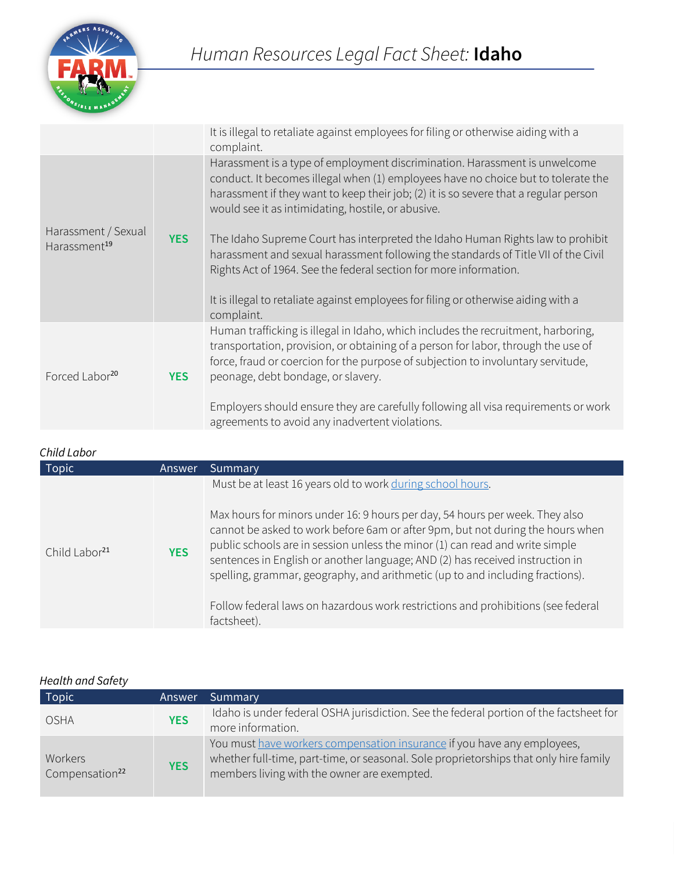

|                                                 |            | It is illegal to retaliate against employees for filing or otherwise aiding with a<br>complaint.                                                                                                                                                                                                              |
|-------------------------------------------------|------------|---------------------------------------------------------------------------------------------------------------------------------------------------------------------------------------------------------------------------------------------------------------------------------------------------------------|
|                                                 |            | Harassment is a type of employment discrimination. Harassment is unwelcome<br>conduct. It becomes illegal when (1) employees have no choice but to tolerate the<br>harassment if they want to keep their job; (2) it is so severe that a regular person<br>would see it as intimidating, hostile, or abusive. |
| Harassment / Sexual<br>Harassment <sup>19</sup> | <b>YES</b> | The Idaho Supreme Court has interpreted the Idaho Human Rights law to prohibit<br>harassment and sexual harassment following the standards of Title VII of the Civil<br>Rights Act of 1964. See the federal section for more information.                                                                     |
|                                                 |            | It is illegal to retaliate against employees for filing or otherwise aiding with a<br>complaint.                                                                                                                                                                                                              |
| Forced Labor <sup>20</sup>                      | <b>YES</b> | Human trafficking is illegal in Idaho, which includes the recruitment, harboring,<br>transportation, provision, or obtaining of a person for labor, through the use of<br>force, fraud or coercion for the purpose of subjection to involuntary servitude,<br>peonage, debt bondage, or slavery.              |
|                                                 |            | Employers should ensure they are carefully following all visa requirements or work<br>agreements to avoid any inadvertent violations.                                                                                                                                                                         |

#### *Child Labor*

| ⊂uuu ∟uwvi                |            |                                                                                                                                                                                                                                                                                                                                                                                                                                                                                                                                                                    |
|---------------------------|------------|--------------------------------------------------------------------------------------------------------------------------------------------------------------------------------------------------------------------------------------------------------------------------------------------------------------------------------------------------------------------------------------------------------------------------------------------------------------------------------------------------------------------------------------------------------------------|
| Topic                     | Answer     | Summary                                                                                                                                                                                                                                                                                                                                                                                                                                                                                                                                                            |
| Child Labor <sup>21</sup> | <b>YES</b> | Must be at least 16 years old to work during school hours.<br>Max hours for minors under 16: 9 hours per day, 54 hours per week. They also<br>cannot be asked to work before 6am or after 9pm, but not during the hours when<br>public schools are in session unless the minor (1) can read and write simple<br>sentences in English or another language; AND (2) has received instruction in<br>spelling, grammar, geography, and arithmetic (up to and including fractions).<br>Follow federal laws on hazardous work restrictions and prohibitions (see federal |
|                           |            | factsheet).                                                                                                                                                                                                                                                                                                                                                                                                                                                                                                                                                        |

## *Health and Safety*

| Topic <sup>1</sup>                    | Answer     | 'Summary                                                                                                                                                                                                        |
|---------------------------------------|------------|-----------------------------------------------------------------------------------------------------------------------------------------------------------------------------------------------------------------|
| <b>OSHA</b>                           | <b>YES</b> | Idaho is under federal OSHA jurisdiction. See the federal portion of the factsheet for<br>more information.                                                                                                     |
| Workers<br>Compensation <sup>22</sup> | <b>YES</b> | You must have workers compensation insurance if you have any employees,<br>whether full-time, part-time, or seasonal. Sole proprietorships that only hire family<br>members living with the owner are exempted. |